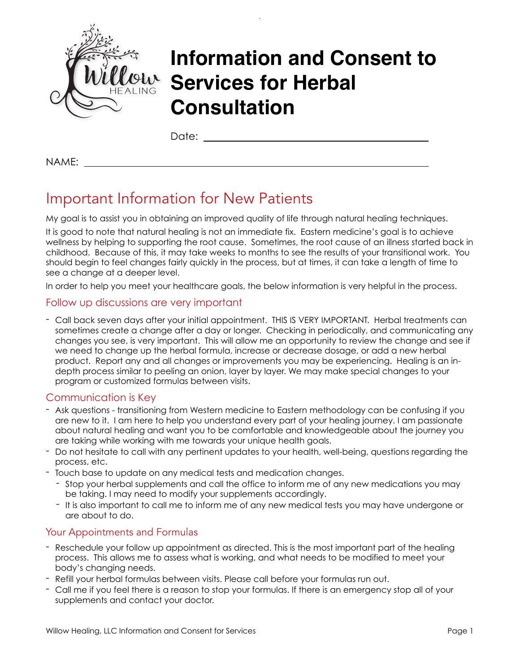

# **Information and Consent to Services for Herbal Consultation**

Date:

NAME:

# Important Information for New Patients

My goal is to assist you in obtaining an improved quality of life through natural healing techniques.

It is good to note that natural healing is not an immediate fix. Eastern medicine's goal is to achieve wellness by helping to supporting the root cause. Sometimes, the root cause of an illness started back in childhood. Because of this, it may take weeks to months to see the results of your transitional work. You should begin to feel changes fairly quickly in the process, but at times, it can take a length of time to see a change at a deeper level.

In order to help you meet your healthcare goals, the below information is very helpful in the process.

### Follow up discussions are very important

- Call back seven days after your initial appointment. THIS IS VERY IMPORTANT. Herbal treatments can sometimes create a change after a day or longer. Checking in periodically, and communicating any changes you see, is very important. This will allow me an opportunity to review the change and see if we need to change up the herbal formula, increase or decrease dosage, or add a new herbal product. Report any and all changes or improvements you may be experiencing. Healing is an indepth process similar to peeling an onion, layer by layer. We may make special changes to your program or customized formulas between visits.

### Communication is Key

- Ask questions transitioning from Western medicine to Eastern methodology can be confusing if you are new to it. I am here to help you understand every part of your healing journey. I am passionate about natural healing and want you to be comfortable and knowledgeable about the journey you are taking while working with me towards your unique health goals.
- Do not hesitate to call with any pertinent updates to your health, well-being, questions regarding the process, etc.
- Touch base to update on any medical tests and medication changes.
	- Stop your herbal supplements and call the office to inform me of any new medications you may be taking. I may need to modify your supplements accordingly.
	- It is also important to call me to inform me of any new medical tests you may have undergone or are about to do.

### Your Appointments and Formulas

- Reschedule your follow up appointment as directed. This is the most important part of the healing process. This allows me to assess what is working, and what needs to be modified to meet your body's changing needs.
- Refill your herbal formulas between visits. Please call before your formulas run out.
- Call me if you feel there is a reason to stop your formulas. If there is an emergency stop all of your supplements and contact your doctor.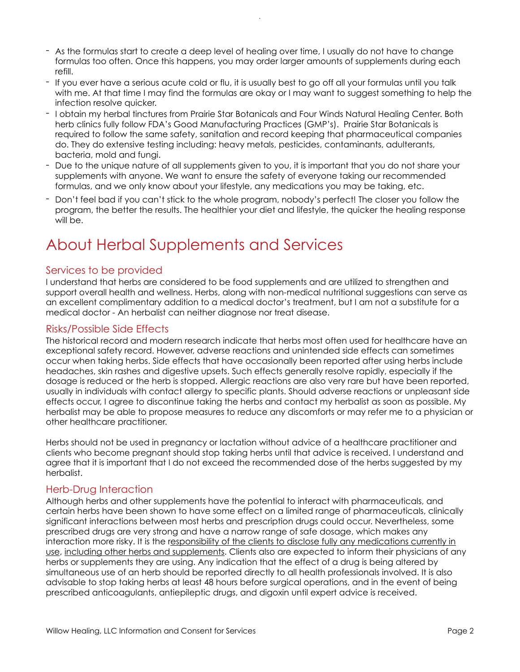- As the formulas start to create a deep level of healing over time, I usually do not have to change formulas too often. Once this happens, you may order larger amounts of supplements during each refill.
- If you ever have a serious acute cold or flu, it is usually best to go off all your formulas until you talk with me. At that time I may find the formulas are okay or I may want to suggest something to help the infection resolve quicker.
- I obtain my herbal tinctures from Prairie Star Botanicals and Four Winds Natural Healing Center. Both herb clinics fully follow FDA's Good Manufacturing Practices (GMP's). Prairie Star Botanicals is required to follow the same safety, sanitation and record keeping that pharmaceutical companies do. They do extensive testing including: heavy metals, pesticides, contaminants, adulterants, bacteria, mold and fungi.
- Due to the unique nature of all supplements given to you, it is important that you do not share your supplements with anyone. We want to ensure the safety of everyone taking our recommended formulas, and we only know about your lifestyle, any medications you may be taking, etc.
- Don't feel bad if you can't stick to the whole program, nobody's perfect! The closer you follow the program, the better the results. The healthier your diet and lifestyle, the quicker the healing response will be.

# About Herbal Supplements and Services

#### Services to be provided

I understand that herbs are considered to be food supplements and are utilized to strengthen and support overall health and wellness. Herbs, along with non-medical nutritional suggestions can serve as an excellent complimentary addition to a medical doctor's treatment, but I am not a substitute for a medical doctor - An herbalist can neither diagnose nor treat disease.

#### Risks/Possible Side Effects

The historical record and modern research indicate that herbs most often used for healthcare have an exceptional safety record. However, adverse reactions and unintended side effects can sometimes occur when taking herbs. Side effects that have occasionally been reported after using herbs include headaches, skin rashes and digestive upsets. Such effects generally resolve rapidly, especially if the dosage is reduced or the herb is stopped. Allergic reactions are also very rare but have been reported, usually in individuals with contact allergy to specific plants. Should adverse reactions or unpleasant side effects occur, I agree to discontinue taking the herbs and contact my herbalist as soon as possible. My herbalist may be able to propose measures to reduce any discomforts or may refer me to a physician or other healthcare practitioner.

Herbs should not be used in pregnancy or lactation without advice of a healthcare practitioner and clients who become pregnant should stop taking herbs until that advice is received. I understand and agree that it is important that I do not exceed the recommended dose of the herbs suggested by my herbalist.

#### Herb-Drug Interaction

Although herbs and other supplements have the potential to interact with pharmaceuticals, and certain herbs have been shown to have some effect on a limited range of pharmaceuticals, clinically significant interactions between most herbs and prescription drugs could occur. Nevertheless, some prescribed drugs are very strong and have a narrow range of safe dosage, which makes any interaction more risky. It is the responsibility of the clients to disclose fully any medications currently in use, including other herbs and supplements. Clients also are expected to inform their physicians of any herbs or supplements they are using. Any indication that the effect of a drug is being altered by simultaneous use of an herb should be reported directly to all health professionals involved. It is also advisable to stop taking herbs at least 48 hours before surgical operations, and in the event of being prescribed anticoagulants, antiepileptic drugs, and digoxin until expert advice is received.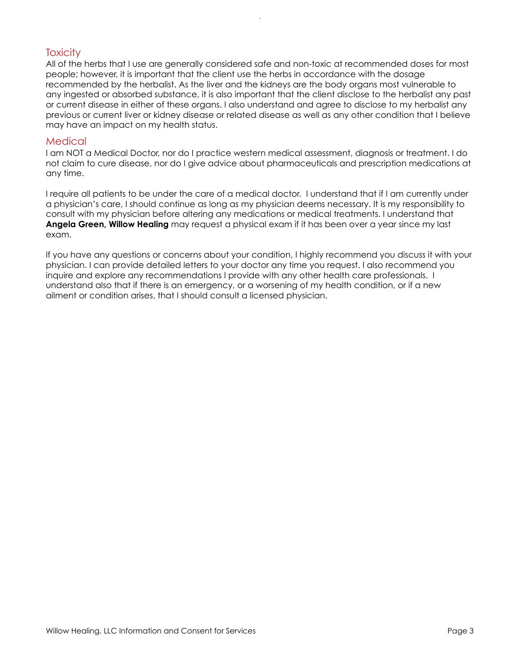### **Toxicity**

All of the herbs that I use are generally considered safe and non-toxic at recommended doses for most people; however, it is important that the client use the herbs in accordance with the dosage recommended by the herbalist. As the liver and the kidneys are the body organs most vulnerable to any ingested or absorbed substance, it is also important that the client disclose to the herbalist any past or current disease in either of these organs. I also understand and agree to disclose to my herbalist any previous or current liver or kidney disease or related disease as well as any other condition that I believe may have an impact on my health status.

#### Medical

I am NOT a Medical Doctor, nor do I practice western medical assessment, diagnosis or treatment. I do not claim to cure disease, nor do I give advice about pharmaceuticals and prescription medications at any time.

I require all patients to be under the care of a medical doctor. I understand that if I am currently under a physician's care, I should continue as long as my physician deems necessary. It is my responsibility to consult with my physician before altering any medications or medical treatments. I understand that **Angela Green, Willow Healing** may request a physical exam if it has been over a year since my last exam.

If you have any questions or concerns about your condition, I highly recommend you discuss it with your physician. I can provide detailed letters to your doctor any time you request. I also recommend you inquire and explore any recommendations I provide with any other health care professionals. I understand also that if there is an emergency, or a worsening of my health condition, or if a new ailment or condition arises, that I should consult a licensed physician.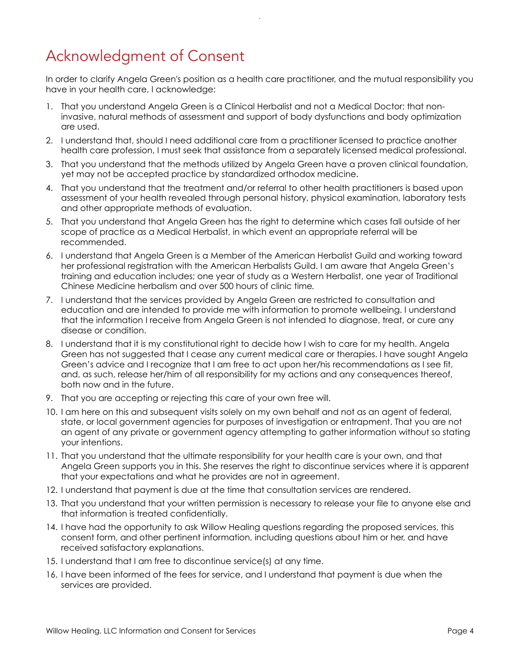# Acknowledgment of Consent

In order to clarify Angela Green's position as a health care practitioner, and the mutual responsibility you have in your health care, I acknowledge:

- 1. That you understand Angela Green is a Clinical Herbalist and not a Medical Doctor; that noninvasive, natural methods of assessment and support of body dysfunctions and body optimization are used.
- 2. I understand that, should I need additional care from a practitioner licensed to practice another health care profession, I must seek that assistance from a separately licensed medical professional.
- 3. That you understand that the methods utilized by Angela Green have a proven clinical foundation, yet may not be accepted practice by standardized orthodox medicine.
- 4. That you understand that the treatment and/or referral to other health practitioners is based upon assessment of your health revealed through personal history, physical examination, laboratory tests and other appropriate methods of evaluation.
- 5. That you understand that Angela Green has the right to determine which cases fall outside of her scope of practice as a Medical Herbalist, in which event an appropriate referral will be recommended.
- 6. I understand that Angela Green is a Member of the American Herbalist Guild and working toward her professional registration with the American Herbalists Guild. I am aware that Angela Green's training and education includes; one year of study as a Western Herbalist, one year of Traditional Chinese Medicine herbalism and over 500 hours of clinic time*.*
- 7. I understand that the services provided by Angela Green are restricted to consultation and education and are intended to provide me with information to promote wellbeing. I understand that the information I receive from Angela Green is not intended to diagnose, treat, or cure any disease or condition.
- 8. I understand that it is my constitutional right to decide how I wish to care for my health. Angela Green has not suggested that I cease any current medical care or therapies. I have sought Angela Green's advice and I recognize that I am free to act upon her/his recommendations as I see fit, and, as such, release her/him of all responsibility for my actions and any consequences thereof, both now and in the future.
- 9. That you are accepting or rejecting this care of your own free will.
- 10. I am here on this and subsequent visits solely on my own behalf and not as an agent of federal, state, or local government agencies for purposes of investigation or entrapment. That you are not an agent of any private or government agency attempting to gather information without so stating your intentions.
- 11. That you understand that the ultimate responsibility for your health care is your own, and that Angela Green supports you in this. She reserves the right to discontinue services where it is apparent that your expectations and what he provides are not in agreement.
- 12. I understand that payment is due at the time that consultation services are rendered.
- 13. That you understand that your written permission is necessary to release your file to anyone else and that information is treated confidentially.
- 14. I have had the opportunity to ask Willow Healing questions regarding the proposed services, this consent form, and other pertinent information, including questions about him or her, and have received satisfactory explanations.
- 15. I understand that I am free to discontinue service(s) at any time.
- 16. I have been informed of the fees for service, and I understand that payment is due when the services are provided.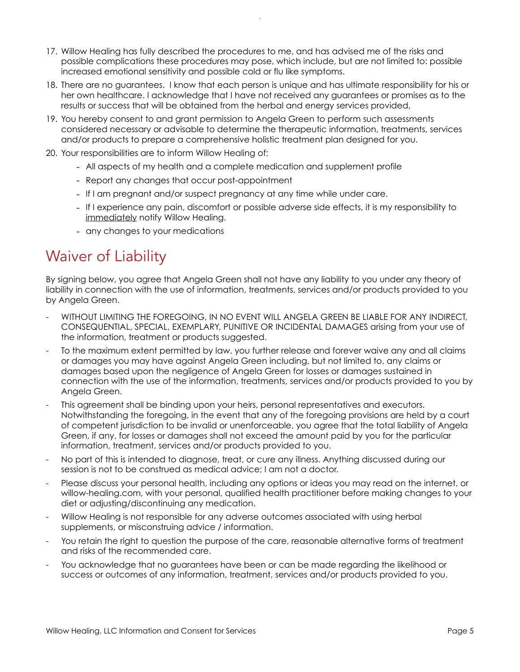- 17. Willow Healing has fully described the procedures to me, and has advised me of the risks and possible complications these procedures may pose, which include, but are not limited to: possible increased emotional sensitivity and possible cold or flu like symptoms.
- 18. There are no guarantees. I know that each person is unique and has ultimate responsibility for his or her own healthcare. I acknowledge that I have not received any guarantees or promises as to the results or success that will be obtained from the herbal and energy services provided,
- 19. You hereby consent to and grant permission to Angela Green to perform such assessments considered necessary or advisable to determine the therapeutic information, treatments, services and/or products to prepare a comprehensive holistic treatment plan designed for you.
- 20. Your responsibilities are to inform Willow Healing of:
	- All aspects of my health and a complete medication and supplement profile
	- Report any changes that occur post-appointment
	- If I am pregnant and/or suspect pregnancy at any time while under care.
	- If I experience any pain, discomfort or possible adverse side effects, it is my responsibility to immediately notify Willow Healing.
	- any changes to your medications

## Waiver of Liability

By signing below, you agree that Angela Green shall not have any liability to you under any theory of liability in connection with the use of information, treatments, services and/or products provided to you by Angela Green.

- WITHOUT LIMITING THE FOREGOING, IN NO EVENT WILL ANGELA GREEN BE LIABLE FOR ANY INDIRECT, CONSEQUENTIAL, SPECIAL, EXEMPLARY, PUNITIVE OR INCIDENTAL DAMAGES arising from your use of the information, treatment or products suggested.
- To the maximum extent permitted by law, you further release and forever waive any and all claims or damages you may have against Angela Green including, but not limited to, any claims or damages based upon the negligence of Angela Green for losses or damages sustained in connection with the use of the information, treatments, services and/or products provided to you by Angela Green.
- This agreement shall be binding upon your heirs, personal representatives and executors. Notwithstanding the foregoing, in the event that any of the foregoing provisions are held by a court of competent jurisdiction to be invalid or unenforceable, you agree that the total liability of Angela Green, if any, for losses or damages shall not exceed the amount paid by you for the particular information, treatment, services and/or products provided to you.
- No part of this is intended to diagnose, treat, or cure any illness. Anything discussed during our session is not to be construed as medical advice; I am not a doctor.
- Please discuss your personal health, including any options or ideas you may read on the internet, or willow-healing.com, with your personal, qualified health practitioner before making changes to your diet or adjusting/discontinuing any medication.
- Willow Healing is not responsible for any adverse outcomes associated with using herbal supplements, or misconstruing advice / information.
- You retain the right to question the purpose of the care, reasonable alternative forms of treatment and risks of the recommended care.
- You acknowledge that no guarantees have been or can be made regarding the likelihood or success or outcomes of any information, treatment, services and/or products provided to you.